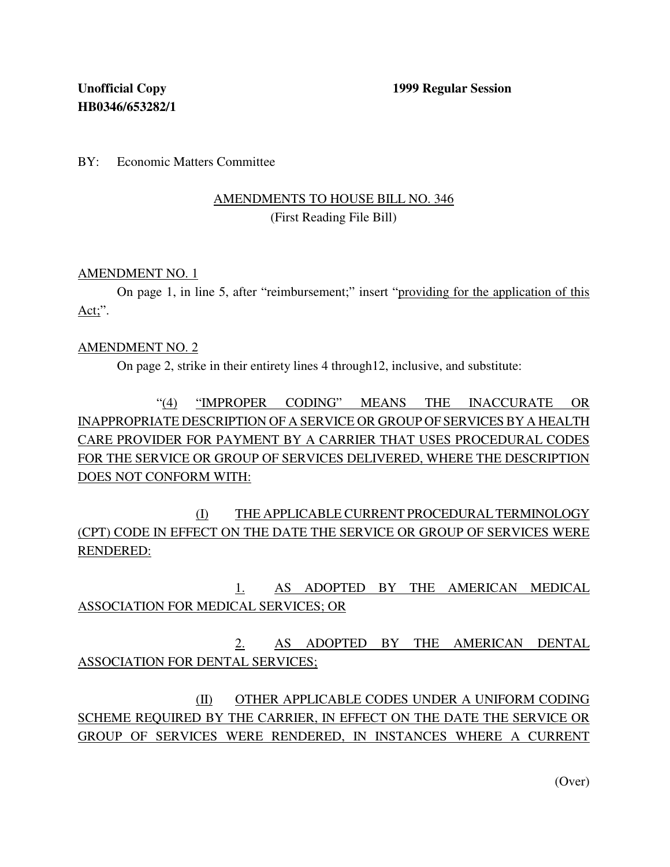BY: Economic Matters Committee

## AMENDMENTS TO HOUSE BILL NO. 346 (First Reading File Bill)

### AMENDMENT NO. 1

On page 1, in line 5, after "reimbursement;" insert "providing for the application of this  $Act$ ;".

### AMENDMENT NO. 2

On page 2, strike in their entirety lines 4 through12, inclusive, and substitute:

"(4) "IMPROPER CODING" MEANS THE INACCURATE OR INAPPROPRIATE DESCRIPTION OF A SERVICE OR GROUP OF SERVICES BY A HEALTH CARE PROVIDER FOR PAYMENT BY A CARRIER THAT USES PROCEDURAL CODES FOR THE SERVICE OR GROUP OF SERVICES DELIVERED, WHERE THE DESCRIPTION DOES NOT CONFORM WITH:

(I) THE APPLICABLE CURRENT PROCEDURALTERMINOLOGY (CPT) CODE IN EFFECT ON THE DATE THE SERVICE OR GROUP OF SERVICES WERE RENDERED:

1. AS ADOPTED BY THE AMERICAN MEDICAL ASSOCIATION FOR MEDICAL SERVICES; OR

2. AS ADOPTED BY THE AMERICAN DENTAL ASSOCIATION FOR DENTAL SERVICES;

(II) OTHER APPLICABLE CODES UNDER A UNIFORM CODING SCHEME REQUIRED BY THE CARRIER, IN EFFECT ON THE DATE THE SERVICE OR GROUP OF SERVICES WERE RENDERED, IN INSTANCES WHERE A CURRENT

(Over)